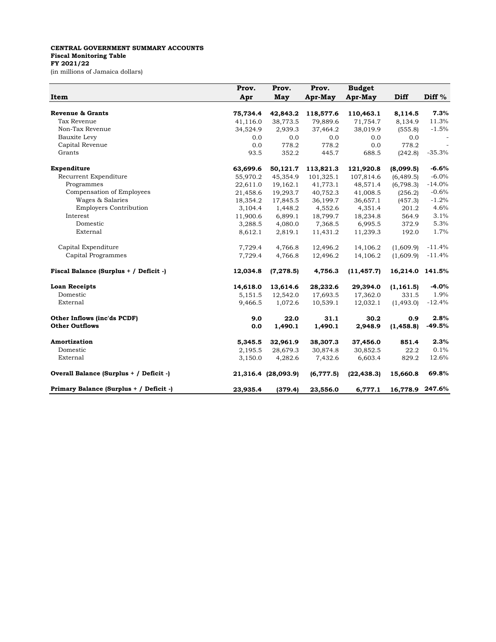## **CENTRAL GOVERNMENT SUMMARY ACCOUNTS Fiscal Monitoring Table FY 2021/22** (in millions of Jamaica dollars)

|                                         | Prov.    | Prov.               | Prov.     | <b>Budget</b> |                 |          |
|-----------------------------------------|----------|---------------------|-----------|---------------|-----------------|----------|
| Item                                    | Apr      | May                 | Apr-May   | Apr-May       | Diff            | Diff %   |
| Revenue & Grants                        | 75,734.4 | 42,843.2            | 118,577.6 | 110,463.1     | 8,114.5         | 7.3%     |
| Tax Revenue                             | 41,116.0 | 38,773.5            | 79,889.6  | 71,754.7      | 8,134.9         | 11.3%    |
| Non-Tax Revenue                         | 34,524.9 | 2,939.3             | 37,464.2  | 38,019.9      | (555.8)         | $-1.5%$  |
| Bauxite Levy                            | 0.0      | 0.0                 | 0.0       | 0.0           | 0.0             |          |
| Capital Revenue                         | 0.0      | 778.2               | 778.2     | 0.0           | 778.2           |          |
| Grants                                  | 93.5     | 352.2               | 445.7     | 688.5         | (242.8)         | $-35.3%$ |
| Expenditure                             | 63,699.6 | 50,121.7            | 113,821.3 | 121,920.8     | (8,099.5)       | $-6.6%$  |
| Recurrent Expenditure                   | 55,970.2 | 45,354.9            | 101,325.1 | 107,814.6     | (6, 489.5)      | $-6.0\%$ |
| Programmes                              | 22,611.0 | 19,162.1            | 41,773.1  | 48,571.4      | (6, 798.3)      | $-14.0%$ |
| Compensation of Employees               | 21,458.6 | 19,293.7            | 40,752.3  | 41,008.5      | (256.2)         | $-0.6%$  |
| Wages & Salaries                        | 18,354.2 | 17,845.5            | 36,199.7  | 36,657.1      | (457.3)         | $-1.2%$  |
| <b>Employers Contribution</b>           | 3,104.4  | 1,448.2             | 4,552.6   | 4,351.4       | 201.2           | 4.6%     |
| Interest                                | 11,900.6 | 6,899.1             | 18,799.7  | 18,234.8      | 564.9           | 3.1%     |
| Domestic                                | 3,288.5  | 4,080.0             | 7,368.5   | 6,995.5       | 372.9           | 5.3%     |
| External                                | 8,612.1  | 2,819.1             | 11,431.2  | 11,239.3      | 192.0           | 1.7%     |
| Capital Expenditure                     | 7,729.4  | 4,766.8             | 12,496.2  | 14,106.2      | (1,609.9)       | $-11.4%$ |
| Capital Programmes                      | 7,729.4  | 4,766.8             | 12,496.2  | 14,106.2      | (1,609.9)       | $-11.4%$ |
| Fiscal Balance (Surplus + / Deficit -)  | 12,034.8 | (7, 278.5)          | 4,756.3   | (11, 457.7)   | 16,214.0 141.5% |          |
| <b>Loan Receipts</b>                    | 14,618.0 | 13,614.6            | 28,232.6  | 29,394.0      | (1, 161.5)      | $-4.0%$  |
| Domestic                                | 5,151.5  | 12,542.0            | 17,693.5  | 17,362.0      | 331.5           | 1.9%     |
| External                                | 9,466.5  | 1,072.6             | 10,539.1  | 12,032.1      | (1,493.0)       | $-12.4%$ |
| Other Inflows (inc'ds PCDF)             | 9.0      | 22.0                | 31.1      | 30.2          | 0.9             | 2.8%     |
| <b>Other Outflows</b>                   | 0.0      | 1,490.1             | 1,490.1   | 2,948.9       | (1, 458.8)      | $-49.5%$ |
| Amortization                            | 5,345.5  | 32,961.9            | 38,307.3  | 37,456.0      | 851.4           | 2.3%     |
| Domestic                                | 2,195.5  | 28,679.3            | 30,874.8  | 30,852.5      | 22.2            | 0.1%     |
| External                                | 3,150.0  | 4,282.6             | 7,432.6   | 6,603.4       | 829.2           | 12.6%    |
| Overall Balance (Surplus + / Deficit -) |          | 21,316.4 (28,093.9) | (6,777.5) | (22, 438.3)   | 15,660.8        | 69.8%    |
| Primary Balance (Surplus + / Deficit -) | 23,935.4 | (379.4)             | 23,556.0  | 6,777.1       | 16,778.9        | 247.6%   |